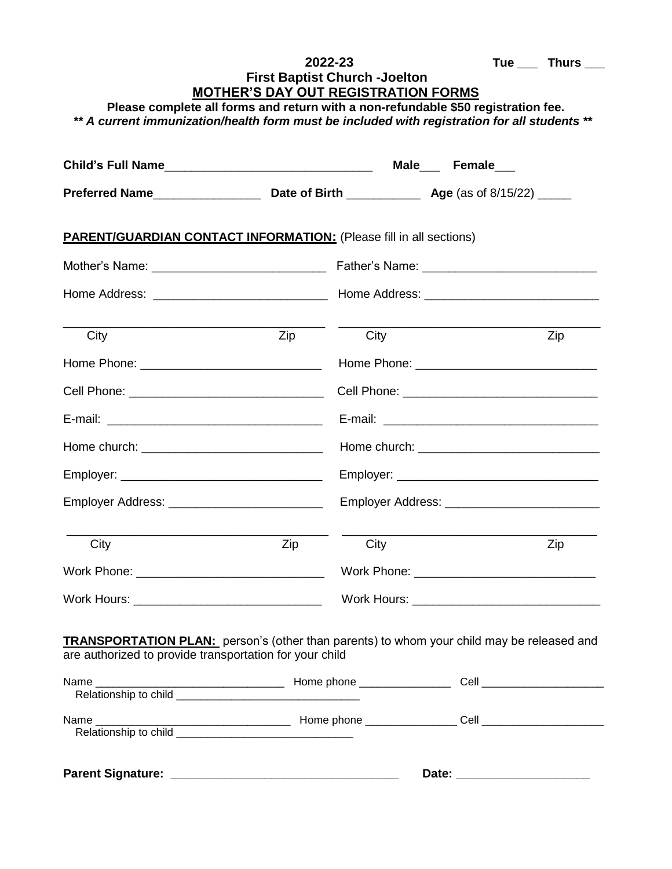|                                                                                                                                                                                                                                                                         |     | 2022-23 |  |  | Tue $\_\_$ Thurs $\_\_$                           |  |  |  |
|-------------------------------------------------------------------------------------------------------------------------------------------------------------------------------------------------------------------------------------------------------------------------|-----|---------|--|--|---------------------------------------------------|--|--|--|
| <b>First Baptist Church -Joelton</b><br><b>MOTHER'S DAY OUT REGISTRATION FORMS</b><br>Please complete all forms and return with a non-refundable \$50 registration fee.<br>** A current immunization/health form must be included with registration for all students ** |     |         |  |  |                                                   |  |  |  |
|                                                                                                                                                                                                                                                                         |     |         |  |  |                                                   |  |  |  |
|                                                                                                                                                                                                                                                                         |     |         |  |  |                                                   |  |  |  |
| <b>PARENT/GUARDIAN CONTACT INFORMATION:</b> (Please fill in all sections)                                                                                                                                                                                               |     |         |  |  |                                                   |  |  |  |
|                                                                                                                                                                                                                                                                         |     |         |  |  |                                                   |  |  |  |
|                                                                                                                                                                                                                                                                         |     |         |  |  |                                                   |  |  |  |
| City                                                                                                                                                                                                                                                                    | Zip | City    |  |  | Zip                                               |  |  |  |
|                                                                                                                                                                                                                                                                         |     |         |  |  |                                                   |  |  |  |
|                                                                                                                                                                                                                                                                         |     |         |  |  |                                                   |  |  |  |
|                                                                                                                                                                                                                                                                         |     |         |  |  |                                                   |  |  |  |
|                                                                                                                                                                                                                                                                         |     |         |  |  |                                                   |  |  |  |
|                                                                                                                                                                                                                                                                         |     |         |  |  |                                                   |  |  |  |
| Employer Address: _____________________________                                                                                                                                                                                                                         |     |         |  |  | Employer Address: _______________________________ |  |  |  |
| City                                                                                                                                                                                                                                                                    | Zip | City    |  |  | Zip                                               |  |  |  |
|                                                                                                                                                                                                                                                                         |     |         |  |  |                                                   |  |  |  |
|                                                                                                                                                                                                                                                                         |     |         |  |  | Work Hours: __________________________________    |  |  |  |
| <b>TRANSPORTATION PLAN:</b> person's (other than parents) to whom your child may be released and<br>are authorized to provide transportation for your child                                                                                                             |     |         |  |  |                                                   |  |  |  |
|                                                                                                                                                                                                                                                                         |     |         |  |  |                                                   |  |  |  |
|                                                                                                                                                                                                                                                                         |     |         |  |  |                                                   |  |  |  |
|                                                                                                                                                                                                                                                                         |     |         |  |  |                                                   |  |  |  |

**Parent Signature: \_\_\_\_\_\_\_\_\_\_\_\_\_\_\_\_\_\_\_\_\_\_\_\_\_\_\_\_\_\_\_\_\_\_ Date: \_\_\_\_\_\_\_\_\_\_\_\_\_\_\_\_\_\_\_\_**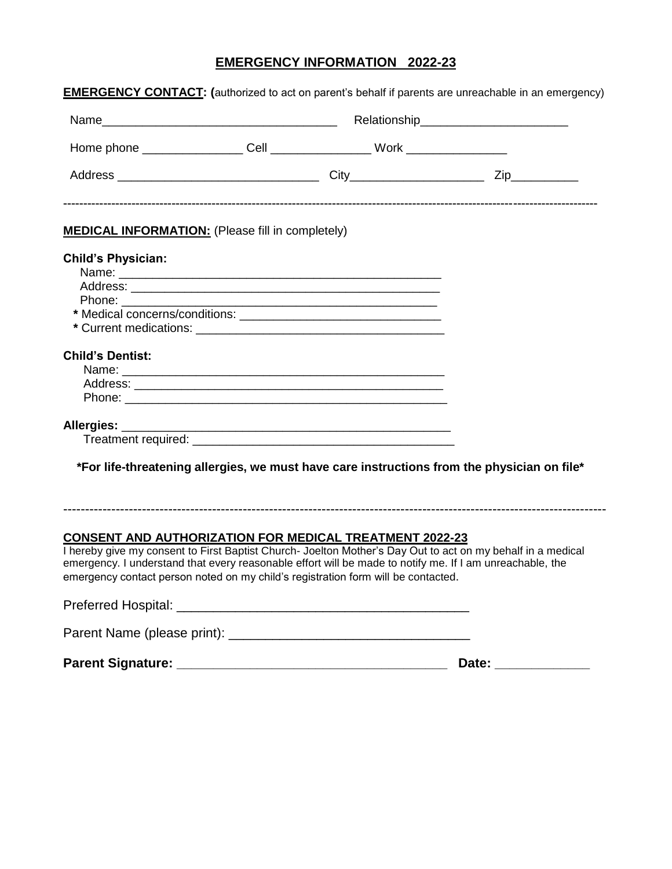## **EMERGENCY INFORMATION 2022-23**

| <b>MEDICAL INFORMATION:</b> (Please fill in completely)                           |  |                                                                                                                                                                                                                         |  |
|-----------------------------------------------------------------------------------|--|-------------------------------------------------------------------------------------------------------------------------------------------------------------------------------------------------------------------------|--|
| <b>Child's Physician:</b>                                                         |  |                                                                                                                                                                                                                         |  |
|                                                                                   |  |                                                                                                                                                                                                                         |  |
|                                                                                   |  |                                                                                                                                                                                                                         |  |
|                                                                                   |  |                                                                                                                                                                                                                         |  |
|                                                                                   |  |                                                                                                                                                                                                                         |  |
|                                                                                   |  |                                                                                                                                                                                                                         |  |
|                                                                                   |  |                                                                                                                                                                                                                         |  |
| <b>Child's Dentist:</b>                                                           |  |                                                                                                                                                                                                                         |  |
|                                                                                   |  |                                                                                                                                                                                                                         |  |
|                                                                                   |  |                                                                                                                                                                                                                         |  |
|                                                                                   |  |                                                                                                                                                                                                                         |  |
|                                                                                   |  |                                                                                                                                                                                                                         |  |
|                                                                                   |  |                                                                                                                                                                                                                         |  |
|                                                                                   |  | *For life-threatening allergies, we must have care instructions from the physician on file*                                                                                                                             |  |
| <b>CONSENT AND AUTHORIZATION FOR MEDICAL TREATMENT 2022-23</b>                    |  |                                                                                                                                                                                                                         |  |
| emergency contact person noted on my child's registration form will be contacted. |  | I hereby give my consent to First Baptist Church- Joelton Mother's Day Out to act on my behalf in a medical<br>emergency. I understand that every reasonable effort will be made to notify me. If I am unreachable, the |  |
|                                                                                   |  |                                                                                                                                                                                                                         |  |
|                                                                                   |  |                                                                                                                                                                                                                         |  |
|                                                                                   |  | Date: _____________                                                                                                                                                                                                     |  |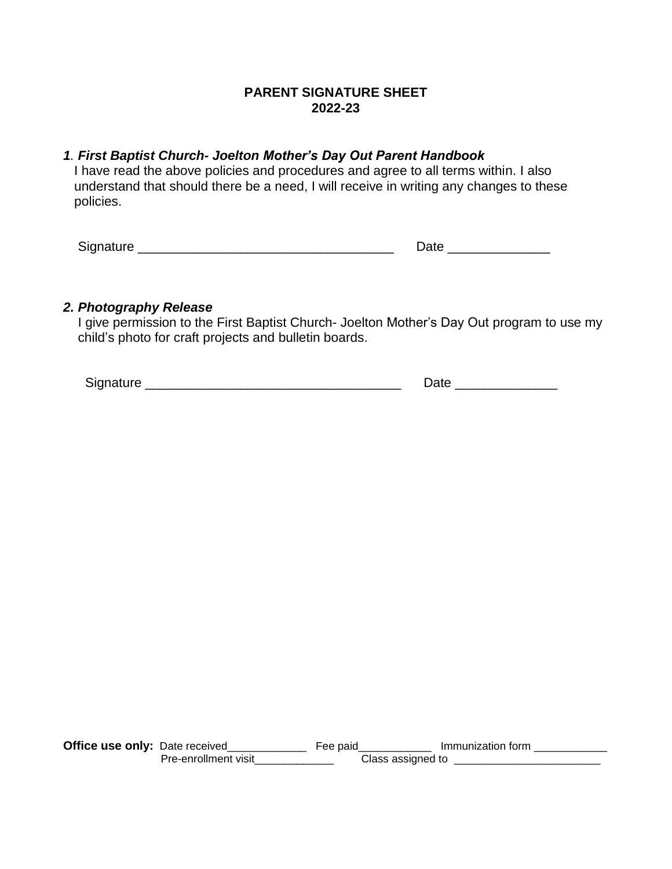### **PARENT SIGNATURE SHEET 2022-23**

#### *1. First Baptist Church- Joelton Mother's Day Out Parent Handbook* I have read the above policies and procedures and agree to all terms within. I also understand that should there be a need, I will receive in writing any changes to these policies.

Signature \_\_\_\_\_\_\_\_\_\_\_\_\_\_\_\_\_\_\_\_\_\_\_\_\_\_\_\_\_\_\_\_\_\_\_ Date \_\_\_\_\_\_\_\_\_\_\_\_\_\_

#### *2. Photography Release*

 I give permission to the First Baptist Church- Joelton Mother's Day Out program to use my child's photo for craft projects and bulletin boards.

Signature \_\_\_\_\_\_\_\_\_\_\_\_\_\_\_\_\_\_\_\_\_\_\_\_\_\_\_\_\_\_\_\_\_\_\_ Date \_\_\_\_\_\_\_\_\_\_\_\_\_\_

**Office use only:** Date received\_\_\_\_\_\_\_\_\_\_\_\_\_\_\_\_ Fee paid\_\_\_\_\_\_\_\_\_\_\_\_\_ Immunization form \_\_\_\_\_\_\_\_\_\_\_ Pre-enrollment visit\_\_\_\_\_\_\_\_\_\_\_\_\_\_\_ Class assigned to \_\_\_\_\_\_\_\_\_\_\_\_\_\_\_\_\_\_\_\_\_\_\_\_\_